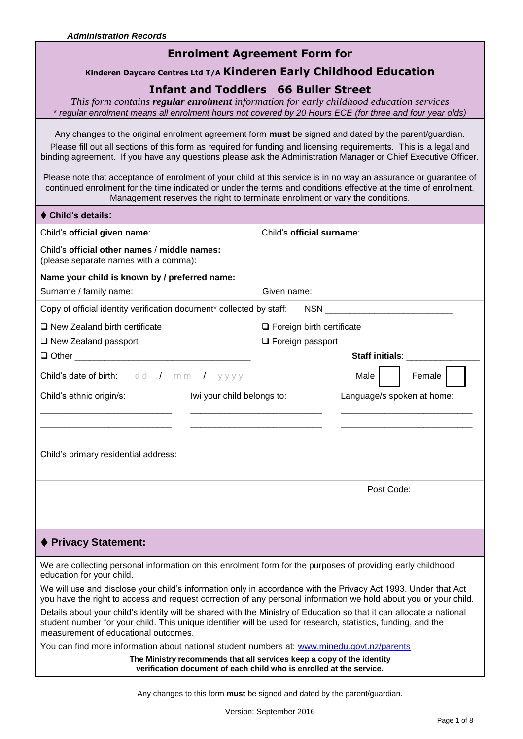**Child's details:** 

## **Enrolment Agreement Form for**

#### **Kinderen Daycare Centres Ltd T/A Kinderen Early Childhood Education**

### **Infant and Toddlers 66 Buller Street**

*This form contains regular enrolment information for early childhood education services*  \* *regular enrolment means all enrolment hours not covered by 20 Hours ECE (for three and four year olds)*

Any changes to the original enrolment agreement form **must** be signed and dated by the parent/guardian.

Please fill out all sections of this form as required for funding and licensing requirements. This is a legal and binding agreement. If you have any questions please ask the Administration Manager or Chief Executive Officer.

Please note that acceptance of enrolment of your child at this service is in no way an assurance or guarantee of continued enrolment for the time indicated or under the terms and conditions effective at the time of enrolment. Management reserves the right to terminate enrolment or vary the conditions.

| UNIQ S details.                                                                                                                                                                                                                                                               |                            |                                  |                            |                                                 |  |  |
|-------------------------------------------------------------------------------------------------------------------------------------------------------------------------------------------------------------------------------------------------------------------------------|----------------------------|----------------------------------|----------------------------|-------------------------------------------------|--|--|
| Child's official given name:                                                                                                                                                                                                                                                  | Child's official surname:  |                                  |                            |                                                 |  |  |
| Child's official other names / middle names:<br>(please separate names with a comma):                                                                                                                                                                                         |                            |                                  |                            |                                                 |  |  |
| Name your child is known by / preferred name:                                                                                                                                                                                                                                 |                            |                                  |                            |                                                 |  |  |
| Surname / family name:                                                                                                                                                                                                                                                        | Given name:                |                                  |                            |                                                 |  |  |
| Copy of official identity verification document* collected by staff:                                                                                                                                                                                                          |                            |                                  |                            |                                                 |  |  |
| $\Box$ New Zealand birth certificate                                                                                                                                                                                                                                          |                            | $\Box$ Foreign birth certificate |                            |                                                 |  |  |
| $\Box$ New Zealand passport                                                                                                                                                                                                                                                   |                            | $\Box$ Foreign passport          |                            |                                                 |  |  |
|                                                                                                                                                                                                                                                                               |                            |                                  |                            | Staff initials: <b>with the Staff initials:</b> |  |  |
| <b>Child's date of birth:</b> dd / mm                                                                                                                                                                                                                                         | $I$ yyyy                   |                                  | Male                       | Female                                          |  |  |
| Child's ethnic origin/s:                                                                                                                                                                                                                                                      | Iwi your child belongs to: |                                  | Language/s spoken at home: |                                                 |  |  |
| Child's primary residential address:                                                                                                                                                                                                                                          |                            |                                  |                            |                                                 |  |  |
|                                                                                                                                                                                                                                                                               |                            |                                  |                            |                                                 |  |  |
|                                                                                                                                                                                                                                                                               |                            |                                  | Post Code:                 |                                                 |  |  |
|                                                                                                                                                                                                                                                                               |                            |                                  |                            |                                                 |  |  |
| ♦ Privacy Statement:                                                                                                                                                                                                                                                          |                            |                                  |                            |                                                 |  |  |
| We are collecting personal information on this enrolment form for the purposes of providing early childhood<br>education for your child.                                                                                                                                      |                            |                                  |                            |                                                 |  |  |
| We will use and disclose your child's information only in accordance with the Privacy Act 1993. Under that Act<br>you have the right to access and request correction of any personal information we hold about you or your child.                                            |                            |                                  |                            |                                                 |  |  |
| Details about your child's identity will be shared with the Ministry of Education so that it can allocate a national<br>student number for your child. This unique identifier will be used for research, statistics, funding, and the<br>measurement of educational outcomes. |                            |                                  |                            |                                                 |  |  |

You can find more information about national student numbers at: [www.minedu.govt.nz/parents](http://www.minedu.govt.nz/parents)

**The Ministry recommends that all services keep a copy of the identity verification document of each child who is enrolled at the service.**

Any changes to this form **must** be signed and dated by the parent/guardian.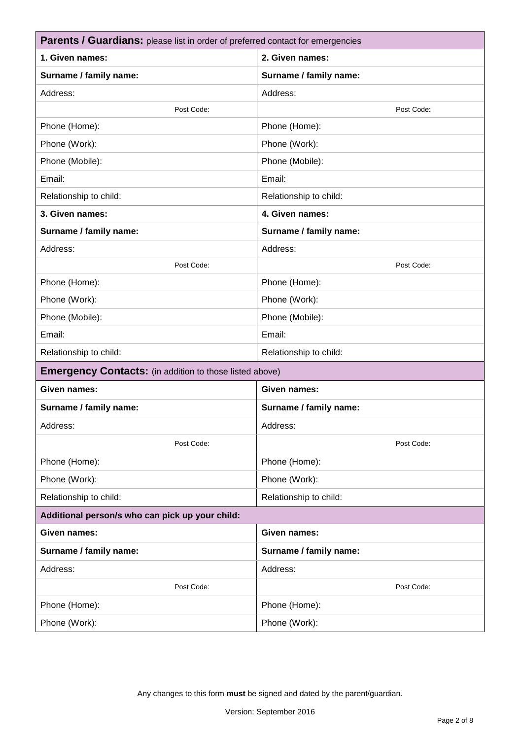| <b>Parents / Guardians:</b> please list in order of preferred contact for emergencies |                        |  |  |  |  |
|---------------------------------------------------------------------------------------|------------------------|--|--|--|--|
| 1. Given names:                                                                       | 2. Given names:        |  |  |  |  |
| Surname / family name:                                                                | Surname / family name: |  |  |  |  |
| Address:                                                                              | Address:               |  |  |  |  |
| Post Code:                                                                            | Post Code:             |  |  |  |  |
| Phone (Home):                                                                         | Phone (Home):          |  |  |  |  |
| Phone (Work):                                                                         | Phone (Work):          |  |  |  |  |
| Phone (Mobile):                                                                       | Phone (Mobile):        |  |  |  |  |
| Email:                                                                                | Email:                 |  |  |  |  |
| Relationship to child:                                                                | Relationship to child: |  |  |  |  |
| 3. Given names:                                                                       | 4. Given names:        |  |  |  |  |
| Surname / family name:                                                                | Surname / family name: |  |  |  |  |
| Address:                                                                              | Address:               |  |  |  |  |
| Post Code:                                                                            | Post Code:             |  |  |  |  |
| Phone (Home):                                                                         | Phone (Home):          |  |  |  |  |
| Phone (Work):                                                                         | Phone (Work):          |  |  |  |  |
| Phone (Mobile):                                                                       | Phone (Mobile):        |  |  |  |  |
| Email:                                                                                | Email:                 |  |  |  |  |
| Relationship to child:                                                                | Relationship to child: |  |  |  |  |
| <b>Emergency Contacts:</b> (in addition to those listed above)                        |                        |  |  |  |  |
| Given names:                                                                          | <b>Given names:</b>    |  |  |  |  |
| Surname / family name:                                                                | Surname / family name: |  |  |  |  |
| Address:                                                                              | Address:               |  |  |  |  |
| Post Code:                                                                            | Post Code:             |  |  |  |  |
| Phone (Home):                                                                         | Phone (Home):          |  |  |  |  |
| Phone (Work):                                                                         | Phone (Work):          |  |  |  |  |
| Relationship to child:                                                                | Relationship to child: |  |  |  |  |
| Additional person/s who can pick up your child:                                       |                        |  |  |  |  |
| Given names:                                                                          | Given names:           |  |  |  |  |
| Surname / family name:                                                                | Surname / family name: |  |  |  |  |
| Address:                                                                              | Address:               |  |  |  |  |
| Post Code:                                                                            | Post Code:             |  |  |  |  |
| Phone (Home):                                                                         | Phone (Home):          |  |  |  |  |
| Phone (Work):                                                                         | Phone (Work):          |  |  |  |  |
|                                                                                       |                        |  |  |  |  |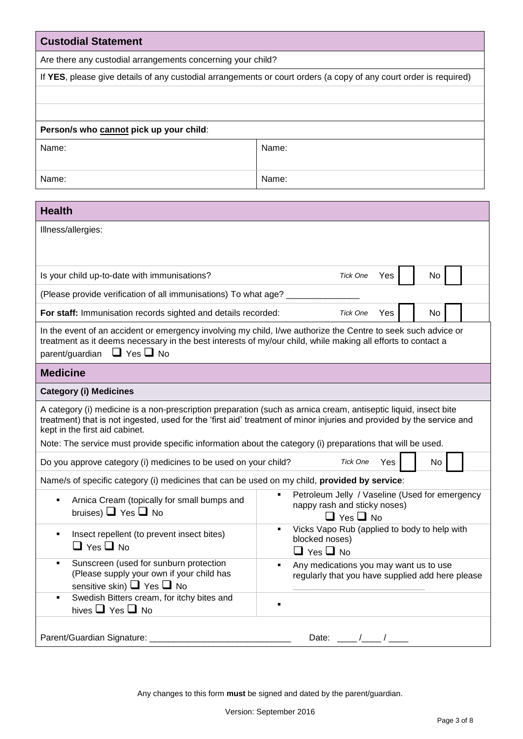| <b>Custodial Statement</b>                                                                                                                                                                                                                                            |                                                                                                                       |  |  |  |  |  |
|-----------------------------------------------------------------------------------------------------------------------------------------------------------------------------------------------------------------------------------------------------------------------|-----------------------------------------------------------------------------------------------------------------------|--|--|--|--|--|
| Are there any custodial arrangements concerning your child?                                                                                                                                                                                                           |                                                                                                                       |  |  |  |  |  |
|                                                                                                                                                                                                                                                                       | If YES, please give details of any custodial arrangements or court orders (a copy of any court order is required)     |  |  |  |  |  |
|                                                                                                                                                                                                                                                                       |                                                                                                                       |  |  |  |  |  |
|                                                                                                                                                                                                                                                                       |                                                                                                                       |  |  |  |  |  |
| Person/s who cannot pick up your child:                                                                                                                                                                                                                               |                                                                                                                       |  |  |  |  |  |
| Name:                                                                                                                                                                                                                                                                 | Name:                                                                                                                 |  |  |  |  |  |
|                                                                                                                                                                                                                                                                       |                                                                                                                       |  |  |  |  |  |
| Name:                                                                                                                                                                                                                                                                 | Name:                                                                                                                 |  |  |  |  |  |
| <b>Health</b>                                                                                                                                                                                                                                                         |                                                                                                                       |  |  |  |  |  |
| Illness/allergies:                                                                                                                                                                                                                                                    |                                                                                                                       |  |  |  |  |  |
|                                                                                                                                                                                                                                                                       |                                                                                                                       |  |  |  |  |  |
|                                                                                                                                                                                                                                                                       |                                                                                                                       |  |  |  |  |  |
| Is your child up-to-date with immunisations?                                                                                                                                                                                                                          | <b>Tick One</b><br>Yes<br>No                                                                                          |  |  |  |  |  |
| (Please provide verification of all immunisations) To what age?                                                                                                                                                                                                       |                                                                                                                       |  |  |  |  |  |
| For staff: Immunisation records sighted and details recorded:                                                                                                                                                                                                         | <b>Tick One</b><br>Yes<br>No                                                                                          |  |  |  |  |  |
| In the event of an accident or emergency involving my child, I/we authorize the Centre to seek such advice or<br>treatment as it deems necessary in the best interests of my/our child, while making all efforts to contact a<br>parent/guardian $\Box$ Yes $\Box$ No |                                                                                                                       |  |  |  |  |  |
| <b>Medicine</b>                                                                                                                                                                                                                                                       |                                                                                                                       |  |  |  |  |  |
| <b>Category (i) Medicines</b>                                                                                                                                                                                                                                         |                                                                                                                       |  |  |  |  |  |
| A category (i) medicine is a non-prescription preparation (such as arnica cream, antiseptic liquid, insect bite<br>kept in the first aid cabinet.<br>Note: The service must provide specific information about the category (i) preparations that will be used.       | treatment) that is not ingested, used for the 'first aid' treatment of minor injuries and provided by the service and |  |  |  |  |  |
| Do you approve category (i) medicines to be used on your child?                                                                                                                                                                                                       | <b>Tick One</b><br>No<br>Yes                                                                                          |  |  |  |  |  |
| Name/s of specific category (i) medicines that can be used on my child, provided by service:                                                                                                                                                                          |                                                                                                                       |  |  |  |  |  |
| Petroleum Jelly / Vaseline (Used for emergency<br>Arnica Cream (topically for small bumps and<br>٠<br>nappy rash and sticky noses)<br>bruises) $\Box$ Yes $\Box$ No<br>$\Box$ Yes $\Box$ No                                                                           |                                                                                                                       |  |  |  |  |  |
| Vicks Vapo Rub (applied to body to help with<br>٠<br>Insect repellent (to prevent insect bites)<br>٠<br>blocked noses)<br>$\Box$ Yes $\Box$ No<br>$\Box$ Yes $\Box$ No                                                                                                |                                                                                                                       |  |  |  |  |  |
| Sunscreen (used for sunburn protection<br>Any medications you may want us to use<br>٠<br>(Please supply your own if your child has<br>regularly that you have supplied add here please<br>sensitive skin) $\Box$ Yes $\Box$ No                                        |                                                                                                                       |  |  |  |  |  |
| Swedish Bitters cream, for itchy bites and<br>hives $\Box$ Yes $\Box$ No                                                                                                                                                                                              |                                                                                                                       |  |  |  |  |  |
| Parent/Guardian Signature: ____                                                                                                                                                                                                                                       | Date: $\overline{\phantom{0}}$                                                                                        |  |  |  |  |  |

Any changes to this form **must** be signed and dated by the parent/guardian.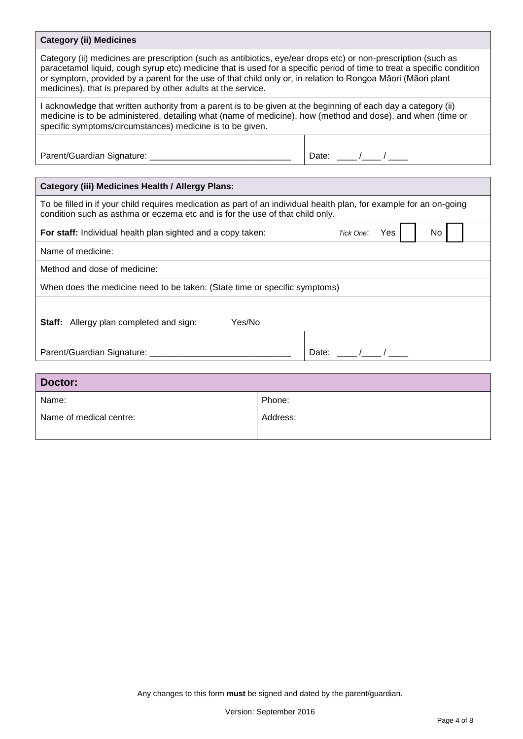# **Category (ii) Medicines**

| Category (ii) medicines are prescription (such as antibiotics, eye/ear drops etc) or non-prescription (such as<br>paracetamol liquid, cough syrup etc) medicine that is used for a specific period of time to treat a specific condition<br>or symptom, provided by a parent for the use of that child only or, in relation to Rongoa Māori (Māori plant<br>medicines), that is prepared by other adults at the service. |        |                               |  |  |  |  |
|--------------------------------------------------------------------------------------------------------------------------------------------------------------------------------------------------------------------------------------------------------------------------------------------------------------------------------------------------------------------------------------------------------------------------|--------|-------------------------------|--|--|--|--|
| I acknowledge that written authority from a parent is to be given at the beginning of each day a category (ii)<br>medicine is to be administered, detailing what (name of medicine), how (method and dose), and when (time or<br>specific symptoms/circumstances) medicine is to be given.                                                                                                                               |        |                               |  |  |  |  |
|                                                                                                                                                                                                                                                                                                                                                                                                                          |        | Date: $\frac{1}{\sqrt{2\pi}}$ |  |  |  |  |
|                                                                                                                                                                                                                                                                                                                                                                                                                          |        |                               |  |  |  |  |
| <b>Category (iii) Medicines Health / Allergy Plans:</b>                                                                                                                                                                                                                                                                                                                                                                  |        |                               |  |  |  |  |
| To be filled in if your child requires medication as part of an individual health plan, for example for an on-going<br>condition such as asthma or eczema etc and is for the use of that child only.                                                                                                                                                                                                                     |        |                               |  |  |  |  |
| For staff: Individual health plan sighted and a copy taken:<br>Tick One:<br>Yes<br>No                                                                                                                                                                                                                                                                                                                                    |        |                               |  |  |  |  |
| Name of medicine:                                                                                                                                                                                                                                                                                                                                                                                                        |        |                               |  |  |  |  |
| Method and dose of medicine:                                                                                                                                                                                                                                                                                                                                                                                             |        |                               |  |  |  |  |
| When does the medicine need to be taken: (State time or specific symptoms)                                                                                                                                                                                                                                                                                                                                               |        |                               |  |  |  |  |
| Yes/No<br><b>Staff:</b> Allergy plan completed and sign:<br>Date: $\frac{1}{\sqrt{1-\frac{1}{2}}}$                                                                                                                                                                                                                                                                                                                       |        |                               |  |  |  |  |
| Parent/Guardian Signature: ____________________                                                                                                                                                                                                                                                                                                                                                                          |        |                               |  |  |  |  |
|                                                                                                                                                                                                                                                                                                                                                                                                                          |        |                               |  |  |  |  |
| Doctor:                                                                                                                                                                                                                                                                                                                                                                                                                  |        |                               |  |  |  |  |
| Name:                                                                                                                                                                                                                                                                                                                                                                                                                    | Phone: |                               |  |  |  |  |
| Name of medical centre:<br>Address:                                                                                                                                                                                                                                                                                                                                                                                      |        |                               |  |  |  |  |
|                                                                                                                                                                                                                                                                                                                                                                                                                          |        |                               |  |  |  |  |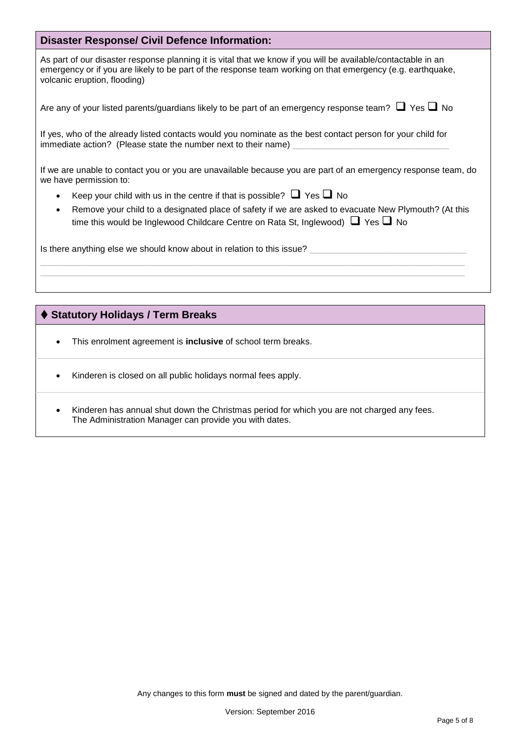### **Disaster Response/ Civil Defence Information:**

As part of our disaster response planning it is vital that we know if you will be available/contactable in an emergency or if you are likely to be part of the response team working on that emergency (e.g. earthquake, volcanic eruption, flooding)

|  |  |  | Are any of your listed parents/guardians likely to be part of an emergency response team? $\Box$ Yes $\Box$ No |  |
|--|--|--|----------------------------------------------------------------------------------------------------------------|--|
|--|--|--|----------------------------------------------------------------------------------------------------------------|--|

If yes, who of the already listed contacts would you nominate as the best contact person for your child for immediate action? (Please state the number next to their name)

If we are unable to contact you or you are unavailable because you are part of an emergency response team, do we have permission to:

- Keep your child with us in the centre if that is possible?  $\Box$  Yes  $\Box$  No
- Remove your child to a designated place of safety if we are asked to evacuate New Plymouth? (At this time this would be Inglewood Childcare Centre on Rata St, Inglewood)  $\Box$  Yes  $\Box$  No

Is there anything else we should know about in relation to this issue?

### **Statutory Holidays / Term Breaks**

- This enrolment agreement is **inclusive** of school term breaks.
- Kinderen is closed on all public holidays normal fees apply.
- Kinderen has annual shut down the Christmas period for which you are not charged any fees. The Administration Manager can provide you with dates.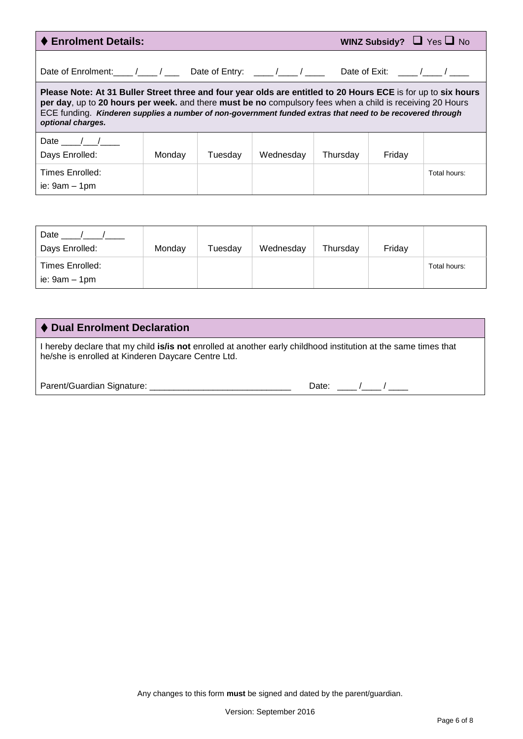| ♦ Enrolment Details:                                                                                                                                                                                                                                                                                                                                         |        |         |           |          |                 | WINZ Subsidy? $\Box$ Yes $\Box$ No |
|--------------------------------------------------------------------------------------------------------------------------------------------------------------------------------------------------------------------------------------------------------------------------------------------------------------------------------------------------------------|--------|---------|-----------|----------|-----------------|------------------------------------|
| Date of Enrolment: / / Date of Entry: / /                                                                                                                                                                                                                                                                                                                    |        |         |           |          | Date of Exit: / |                                    |
| Please Note: At 31 Buller Street three and four year olds are entitled to 20 Hours ECE is for up to six hours<br>per day, up to 20 hours per week. and there must be no compulsory fees when a child is receiving 20 Hours<br>ECE funding. Kinderen supplies a number of non-government funded extras that need to be recovered through<br>optional charges. |        |         |           |          |                 |                                    |
| Date $\frac{1}{\sqrt{2}}$<br>Days Enrolled:                                                                                                                                                                                                                                                                                                                  | Monday | Tuesday | Wednesday | Thursday | Friday          |                                    |
| Times Enrolled:<br>ie: $9am - 1pm$                                                                                                                                                                                                                                                                                                                           |        |         |           |          |                 | Total hours:                       |

| Date<br>Days Enrolled:           | Monday | Tuesday | Wednesday | Thursday | Friday |              |
|----------------------------------|--------|---------|-----------|----------|--------|--------------|
| Times Enrolled:<br>ie: 9am – 1pm |        |         |           |          |        | Total hours: |

## **Dual Enrolment Declaration**

I hereby declare that my child **is/is not** enrolled at another early childhood institution at the same times that he/she is enrolled at Kinderen Daycare Centre Ltd.

| Parent/Guardian Signature: |  |  |
|----------------------------|--|--|
|                            |  |  |

| Date: |
|-------|
|-------|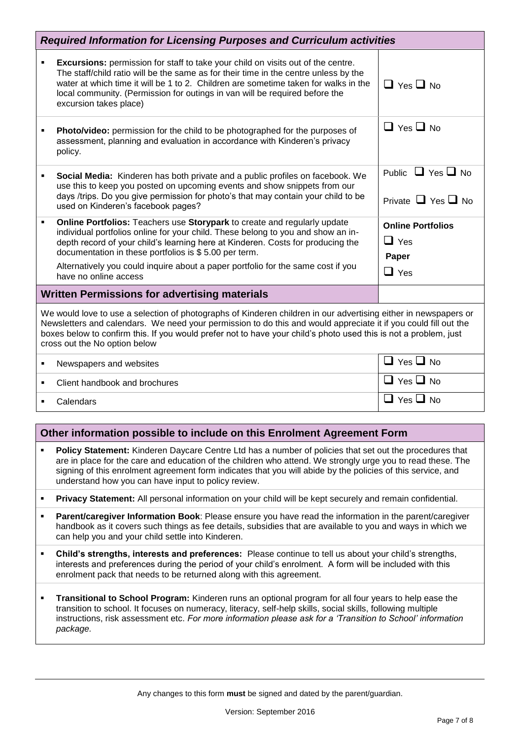|   | <b>Required Information for Licensing Purposes and Curriculum activities</b>                                                                                                                                                                                                                                                                                                                                          |                                                               |  |  |  |  |
|---|-----------------------------------------------------------------------------------------------------------------------------------------------------------------------------------------------------------------------------------------------------------------------------------------------------------------------------------------------------------------------------------------------------------------------|---------------------------------------------------------------|--|--|--|--|
|   | Excursions: permission for staff to take your child on visits out of the centre.<br>The staff/child ratio will be the same as for their time in the centre unless by the<br>water at which time it will be 1 to 2. Children are sometime taken for walks in the<br>local community. (Permission for outings in van will be required before the<br>excursion takes place)                                              | $\Box$ Yes $\Box$ No                                          |  |  |  |  |
|   | Photo/video: permission for the child to be photographed for the purposes of<br>assessment, planning and evaluation in accordance with Kinderen's privacy<br>policy.                                                                                                                                                                                                                                                  | $\Box$ Yes $\Box$ No                                          |  |  |  |  |
| ٠ | Social Media: Kinderen has both private and a public profiles on facebook. We<br>use this to keep you posted on upcoming events and show snippets from our<br>days /trips. Do you give permission for photo's that may contain your child to be<br>used on Kinderen's facebook pages?                                                                                                                                 | Public $\Box$ Yes $\Box$ No<br>Private $\Box$ Yes $\Box$ No   |  |  |  |  |
| ٠ | Online Portfolios: Teachers use Storypark to create and regularly update<br>individual portfolios online for your child. These belong to you and show an in-<br>depth record of your child's learning here at Kinderen. Costs for producing the<br>documentation in these portfolios is \$5.00 per term.<br>Alternatively you could inquire about a paper portfolio for the same cost if you<br>have no online access | <b>Online Portfolios</b><br>$\Box$ Yes<br>Paper<br>$\Box$ Yes |  |  |  |  |
|   | <b>Written Permissions for advertising materials</b>                                                                                                                                                                                                                                                                                                                                                                  |                                                               |  |  |  |  |
|   | We would love to use a selection of photographs of Kinderen children in our advertising either in newspapers or<br>Newsletters and calendars. We need your permission to do this and would appreciate it if you could fill out the<br>boxes below to confirm this. If you would prefer not to have your child's photo used this is not a problem, just<br>cross out the No option below                               |                                                               |  |  |  |  |
| ٠ | Newspapers and websites                                                                                                                                                                                                                                                                                                                                                                                               | $\Box$ Yes $\Box$ No                                          |  |  |  |  |
| ٠ | Client handbook and brochures                                                                                                                                                                                                                                                                                                                                                                                         | $\Box$ Yes $\Box$ No                                          |  |  |  |  |
|   | Calendars                                                                                                                                                                                                                                                                                                                                                                                                             | $\Box$ Yes $\Box$ No                                          |  |  |  |  |
|   |                                                                                                                                                                                                                                                                                                                                                                                                                       |                                                               |  |  |  |  |

# **Other information possible to include on this Enrolment Agreement Form**

- **Policy Statement:** Kinderen Daycare Centre Ltd has a number of policies that set out the procedures that are in place for the care and education of the children who attend. We strongly urge you to read these. The signing of this enrolment agreement form indicates that you will abide by the policies of this service, and understand how you can have input to policy review.
- **Privacy Statement:** All personal information on your child will be kept securely and remain confidential.
- **Parent/caregiver Information Book**: Please ensure you have read the information in the parent/caregiver handbook as it covers such things as fee details, subsidies that are available to you and ways in which we can help you and your child settle into Kinderen.
- **Child's strengths, interests and preferences:** Please continue to tell us about your child's strengths, interests and preferences during the period of your child's enrolment. A form will be included with this enrolment pack that needs to be returned along with this agreement.
- **Transitional to School Program:** Kinderen runs an optional program for all four years to help ease the transition to school. It focuses on numeracy, literacy, self-help skills, social skills, following multiple instructions, risk assessment etc. *For more information please ask for a 'Transition to School' information package.*